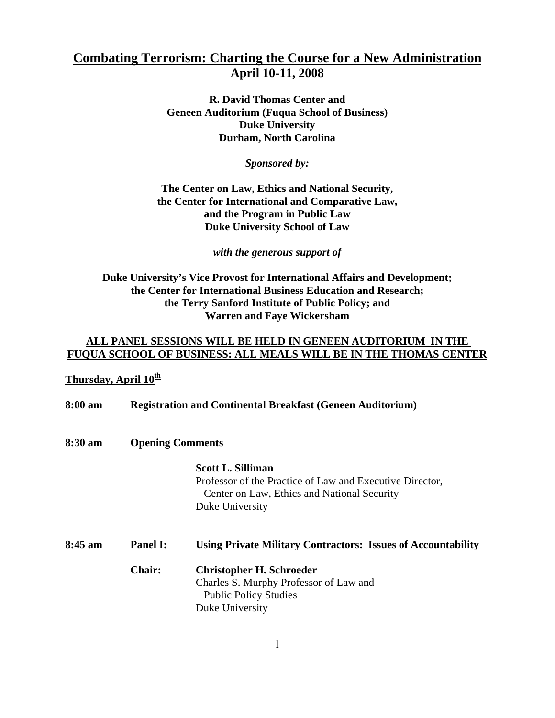### **Combating Terrorism: Charting the Course for a New Administration April 10-11, 2008**

**R. David Thomas Center and Geneen Auditorium (Fuqua School of Business) Duke University Durham, North Carolina** 

*Sponsored by:*

#### **The Center on Law, Ethics and National Security, the Center for International and Comparative Law, and the Program in Public Law Duke University School of Law**

*with the generous support of* 

#### **Duke University's Vice Provost for International Affairs and Development; the Center for International Business Education and Research; the Terry Sanford Institute of Public Policy; and Warren and Faye Wickersham**

### **ALL PANEL SESSIONS WILL BE HELD IN GENEEN AUDITORIUM IN THE FUQUA SCHOOL OF BUSINESS: ALL MEALS WILL BE IN THE THOMAS CENTER**

### Thursday, April  $10^{\underline{th}}$

| 8:00 am   | <b>Registration and Continental Breakfast (Geneen Auditorium)</b> |                                                                                                                                                        |  |
|-----------|-------------------------------------------------------------------|--------------------------------------------------------------------------------------------------------------------------------------------------------|--|
| 8:30 am   | <b>Opening Comments</b>                                           |                                                                                                                                                        |  |
|           |                                                                   | <b>Scott L. Silliman</b><br>Professor of the Practice of Law and Executive Director,<br>Center on Law, Ethics and National Security<br>Duke University |  |
| $8:45$ am | <b>Panel I:</b>                                                   | <b>Using Private Military Contractors: Issues of Accountability</b>                                                                                    |  |
|           | <b>Chair:</b>                                                     | <b>Christopher H. Schroeder</b><br>Charles S. Murphy Professor of Law and<br><b>Public Policy Studies</b><br>Duke University                           |  |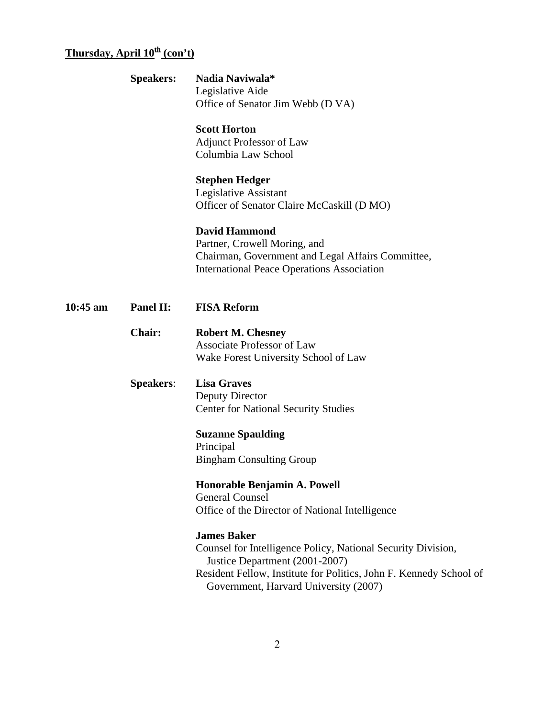# **Thursday, April 10<sup>th</sup> (con't)**

**10:45** 

|          | <b>Speakers:</b> | Nadia Naviwala*<br>Legislative Aide<br>Office of Senator Jim Webb (D VA)                                                                                                                                                            |
|----------|------------------|-------------------------------------------------------------------------------------------------------------------------------------------------------------------------------------------------------------------------------------|
|          |                  | <b>Scott Horton</b><br><b>Adjunct Professor of Law</b><br>Columbia Law School                                                                                                                                                       |
|          |                  | <b>Stephen Hedger</b><br><b>Legislative Assistant</b><br>Officer of Senator Claire McCaskill (D MO)                                                                                                                                 |
|          |                  | <b>David Hammond</b><br>Partner, Crowell Moring, and<br>Chairman, Government and Legal Affairs Committee,<br><b>International Peace Operations Association</b>                                                                      |
| 10:45 am | Panel II:        | <b>FISA Reform</b>                                                                                                                                                                                                                  |
|          | <b>Chair:</b>    | <b>Robert M. Chesney</b><br><b>Associate Professor of Law</b><br>Wake Forest University School of Law                                                                                                                               |
|          | <b>Speakers:</b> | <b>Lisa Graves</b><br><b>Deputy Director</b><br><b>Center for National Security Studies</b><br><b>Suzanne Spaulding</b><br>Principal<br><b>Bingham Consulting Group</b>                                                             |
|          |                  | Honorable Benjamin A. Powell<br><b>General Counsel</b><br>Office of the Director of National Intelligence                                                                                                                           |
|          |                  | <b>James Baker</b><br>Counsel for Intelligence Policy, National Security Division,<br>Justice Department (2001-2007)<br>Resident Fellow, Institute for Politics, John F. Kennedy School of<br>Government, Harvard University (2007) |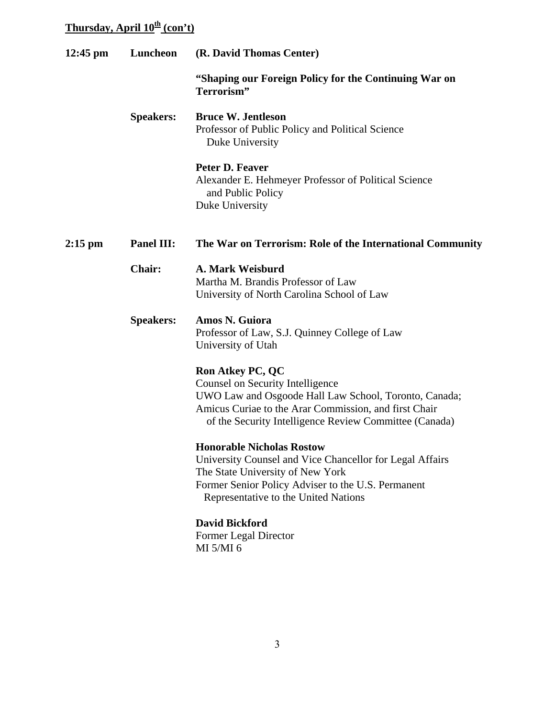# **Thursday, April 10<sup>th</sup> (con't)**

| $12:45$ pm | Luncheon          | (R. David Thomas Center)                                                                                                                                                                                                                       |  |
|------------|-------------------|------------------------------------------------------------------------------------------------------------------------------------------------------------------------------------------------------------------------------------------------|--|
|            |                   | "Shaping our Foreign Policy for the Continuing War on<br>Terrorism"                                                                                                                                                                            |  |
|            | <b>Speakers:</b>  | <b>Bruce W. Jentleson</b><br>Professor of Public Policy and Political Science<br>Duke University                                                                                                                                               |  |
|            |                   | Peter D. Feaver<br>Alexander E. Hehmeyer Professor of Political Science<br>and Public Policy<br>Duke University                                                                                                                                |  |
| $2:15$ pm  | <b>Panel III:</b> | The War on Terrorism: Role of the International Community                                                                                                                                                                                      |  |
|            | <b>Chair:</b>     | A. Mark Weisburd<br>Martha M. Brandis Professor of Law<br>University of North Carolina School of Law                                                                                                                                           |  |
|            | <b>Speakers:</b>  | Amos N. Guiora<br>Professor of Law, S.J. Quinney College of Law<br>University of Utah                                                                                                                                                          |  |
|            |                   | <b>Ron Atkey PC, QC</b><br><b>Counsel on Security Intelligence</b><br>UWO Law and Osgoode Hall Law School, Toronto, Canada;<br>Amicus Curiae to the Arar Commission, and first Chair<br>of the Security Intelligence Review Committee (Canada) |  |
|            |                   | <b>Honorable Nicholas Rostow</b><br>University Counsel and Vice Chancellor for Legal Affairs<br>The State University of New York<br>Former Senior Policy Adviser to the U.S. Permanent<br>Representative to the United Nations                 |  |
|            |                   | <b>David Bickford</b><br>Former Legal Director<br>MI 5/MI 6                                                                                                                                                                                    |  |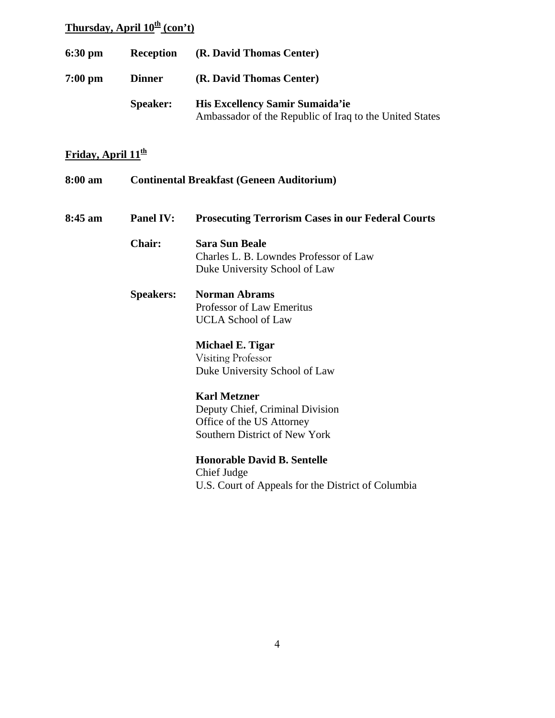## **Thursday, April 10<sup>th</sup> (con't)**

| $6:30 \text{ pm}$ | <b>Reception</b> | (R. David Thomas Center)                                                                   |
|-------------------|------------------|--------------------------------------------------------------------------------------------|
| $7:00$ pm         | <b>Dinner</b>    | (R. David Thomas Center)                                                                   |
|                   | <b>Speaker:</b>  | His Excellency Samir Sumaida'ie<br>Ambassador of the Republic of Iraq to the United States |

### **Friday, April 11th**

| 8:00 am   | <b>Continental Breakfast (Geneen Auditorium)</b> |                                                          |
|-----------|--------------------------------------------------|----------------------------------------------------------|
| $8:45$ am | <b>Panel IV:</b>                                 | <b>Prosecuting Terrorism Cases in our Federal Courts</b> |
|           | <b>Chair:</b>                                    | <b>Sara Sun Beale</b>                                    |
|           |                                                  | Charles L. B. Lowndes Professor of Law                   |
|           |                                                  | Duke University School of Law                            |
|           | <b>Speakers:</b>                                 | <b>Norman Abrams</b>                                     |
|           |                                                  | Professor of Law Emeritus                                |
|           |                                                  | <b>UCLA School of Law</b>                                |
|           |                                                  | Michael E. Tigar                                         |
|           |                                                  | <b>Visiting Professor</b>                                |
|           |                                                  | Duke University School of Law                            |
|           |                                                  | <b>Karl Metzner</b>                                      |
|           |                                                  | Deputy Chief, Criminal Division                          |
|           |                                                  | Office of the US Attorney                                |
|           |                                                  | Southern District of New York                            |
|           |                                                  | <b>Honorable David B. Sentelle</b>                       |
|           |                                                  | Chief Judge                                              |
|           |                                                  | U.S. Court of Appeals for the District of Columbia       |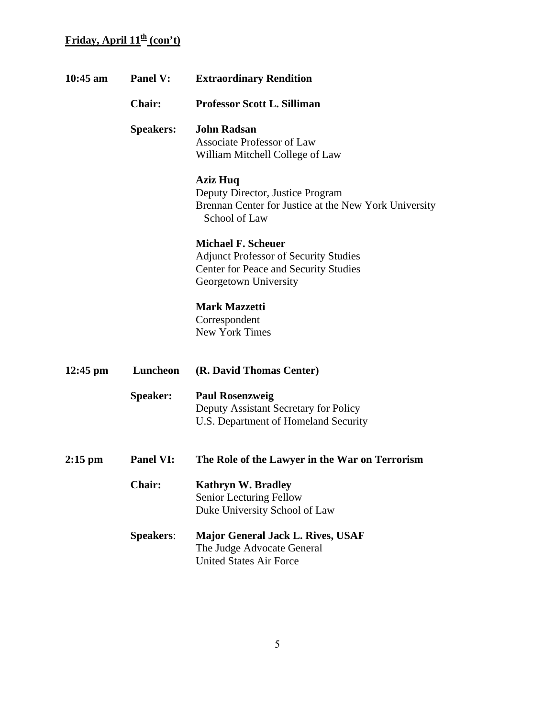### **Friday, April 11<sup>th</sup> (con't)**

| $10:45$ am         | <b>Panel V:</b>  | <b>Extraordinary Rendition</b>                                                                                                              |
|--------------------|------------------|---------------------------------------------------------------------------------------------------------------------------------------------|
|                    | <b>Chair:</b>    | <b>Professor Scott L. Silliman</b>                                                                                                          |
|                    | <b>Speakers:</b> | <b>John Radsan</b><br><b>Associate Professor of Law</b><br>William Mitchell College of Law                                                  |
|                    |                  | <b>Aziz Huq</b><br>Deputy Director, Justice Program<br>Brennan Center for Justice at the New York University<br>School of Law               |
|                    |                  | <b>Michael F. Scheuer</b><br><b>Adjunct Professor of Security Studies</b><br>Center for Peace and Security Studies<br>Georgetown University |
|                    |                  | <b>Mark Mazzetti</b><br>Correspondent<br><b>New York Times</b>                                                                              |
| $12:45 \text{ pm}$ | Luncheon         | (R. David Thomas Center)                                                                                                                    |
|                    | Speaker:         | <b>Paul Rosenzweig</b><br>Deputy Assistant Secretary for Policy<br>U.S. Department of Homeland Security                                     |
| $2:15$ pm          | <b>Panel VI:</b> | The Role of the Lawyer in the War on Terrorism                                                                                              |
|                    | <b>Chair:</b>    | <b>Kathryn W. Bradley</b><br>Senior Lecturing Fellow<br>Duke University School of Law                                                       |
|                    | <b>Speakers:</b> | <b>Major General Jack L. Rives, USAF</b><br>The Judge Advocate General<br><b>United States Air Force</b>                                    |